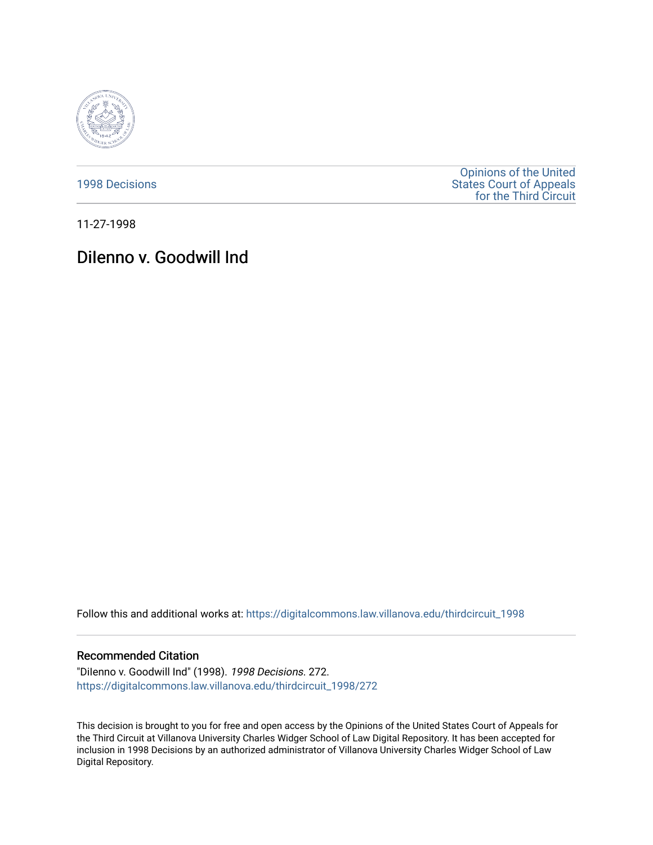

[1998 Decisions](https://digitalcommons.law.villanova.edu/thirdcircuit_1998)

[Opinions of the United](https://digitalcommons.law.villanova.edu/thirdcircuit)  [States Court of Appeals](https://digitalcommons.law.villanova.edu/thirdcircuit)  [for the Third Circuit](https://digitalcommons.law.villanova.edu/thirdcircuit) 

11-27-1998

## Dilenno v. Goodwill Ind

Follow this and additional works at: [https://digitalcommons.law.villanova.edu/thirdcircuit\\_1998](https://digitalcommons.law.villanova.edu/thirdcircuit_1998?utm_source=digitalcommons.law.villanova.edu%2Fthirdcircuit_1998%2F272&utm_medium=PDF&utm_campaign=PDFCoverPages) 

## Recommended Citation

"DiIenno v. Goodwill Ind" (1998). 1998 Decisions. 272. [https://digitalcommons.law.villanova.edu/thirdcircuit\\_1998/272](https://digitalcommons.law.villanova.edu/thirdcircuit_1998/272?utm_source=digitalcommons.law.villanova.edu%2Fthirdcircuit_1998%2F272&utm_medium=PDF&utm_campaign=PDFCoverPages)

This decision is brought to you for free and open access by the Opinions of the United States Court of Appeals for the Third Circuit at Villanova University Charles Widger School of Law Digital Repository. It has been accepted for inclusion in 1998 Decisions by an authorized administrator of Villanova University Charles Widger School of Law Digital Repository.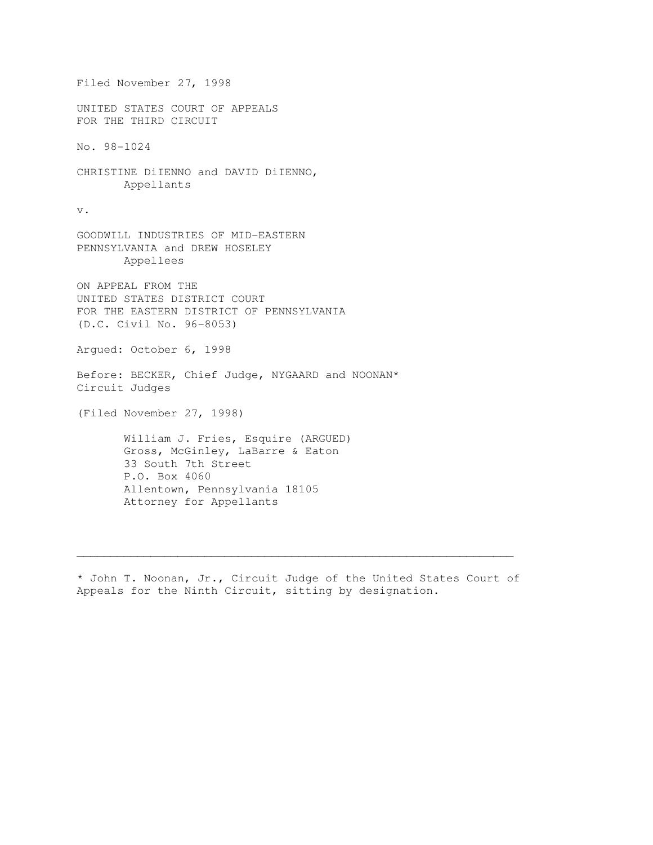Filed November 27, 1998 UNITED STATES COURT OF APPEALS FOR THE THIRD CIRCUIT No. 98-1024 CHRISTINE DiIENNO and DAVID DiIENNO, Appellants v. GOODWILL INDUSTRIES OF MID-EASTERN PENNSYLVANIA and DREW HOSELEY Appellees ON APPEAL FROM THE UNITED STATES DISTRICT COURT FOR THE EASTERN DISTRICT OF PENNSYLVANIA (D.C. Civil No. 96-8053) Argued: October 6, 1998 Before: BECKER, Chief Judge, NYGAARD and NOONAN\* Circuit Judges (Filed November 27, 1998) William J. Fries, Esquire (ARGUED) Gross, McGinley, LaBarre & Eaton 33 South 7th Street P.O. Box 4060 Allentown, Pennsylvania 18105 Attorney for Appellants

\* John T. Noonan, Jr., Circuit Judge of the United States Court of Appeals for the Ninth Circuit, sitting by designation.

 $\mathcal{L}_\mathcal{L} = \{ \mathcal{L}_\mathcal{L} = \{ \mathcal{L}_\mathcal{L} = \{ \mathcal{L}_\mathcal{L} = \{ \mathcal{L}_\mathcal{L} = \{ \mathcal{L}_\mathcal{L} = \{ \mathcal{L}_\mathcal{L} = \{ \mathcal{L}_\mathcal{L} = \{ \mathcal{L}_\mathcal{L} = \{ \mathcal{L}_\mathcal{L} = \{ \mathcal{L}_\mathcal{L} = \{ \mathcal{L}_\mathcal{L} = \{ \mathcal{L}_\mathcal{L} = \{ \mathcal{L}_\mathcal{L} = \{ \mathcal{L}_\mathcal{$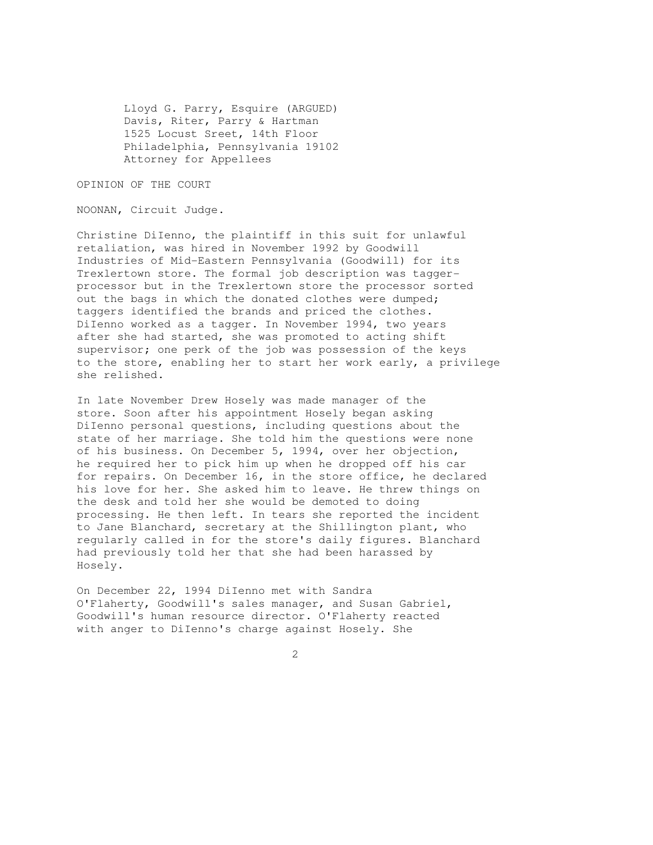Lloyd G. Parry, Esquire (ARGUED) Davis, Riter, Parry & Hartman 1525 Locust Sreet, 14th Floor Philadelphia, Pennsylvania 19102 Attorney for Appellees

OPINION OF THE COURT

NOONAN, Circuit Judge.

Christine DiIenno, the plaintiff in this suit for unlawful retaliation, was hired in November 1992 by Goodwill Industries of Mid-Eastern Pennsylvania (Goodwill) for its Trexlertown store. The formal job description was taggerprocessor but in the Trexlertown store the processor sorted out the bags in which the donated clothes were dumped; taggers identified the brands and priced the clothes. DiIenno worked as a tagger. In November 1994, two years after she had started, she was promoted to acting shift supervisor; one perk of the job was possession of the keys to the store, enabling her to start her work early, a privilege she relished.

In late November Drew Hosely was made manager of the store. Soon after his appointment Hosely began asking DiIenno personal questions, including questions about the state of her marriage. She told him the questions were none of his business. On December 5, 1994, over her objection, he required her to pick him up when he dropped off his car for repairs. On December 16, in the store office, he declared his love for her. She asked him to leave. He threw things on the desk and told her she would be demoted to doing processing. He then left. In tears she reported the incident to Jane Blanchard, secretary at the Shillington plant, who regularly called in for the store's daily figures. Blanchard had previously told her that she had been harassed by Hosely.

On December 22, 1994 DiIenno met with Sandra O'Flaherty, Goodwill's sales manager, and Susan Gabriel, Goodwill's human resource director. O'Flaherty reacted with anger to DiIenno's charge against Hosely. She

2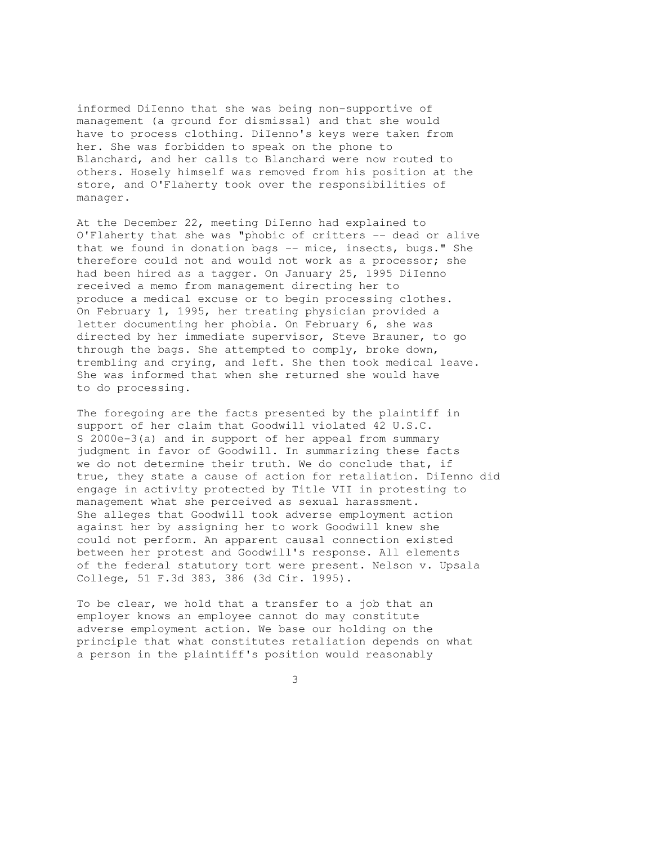informed DiIenno that she was being non-supportive of management (a ground for dismissal) and that she would have to process clothing. DiIenno's keys were taken from her. She was forbidden to speak on the phone to Blanchard, and her calls to Blanchard were now routed to others. Hosely himself was removed from his position at the store, and O'Flaherty took over the responsibilities of manager.

At the December 22, meeting DiIenno had explained to O'Flaherty that she was "phobic of critters -- dead or alive that we found in donation bags -- mice, insects, bugs." She therefore could not and would not work as a processor; she had been hired as a tagger. On January 25, 1995 DiIenno received a memo from management directing her to produce a medical excuse or to begin processing clothes. On February 1, 1995, her treating physician provided a letter documenting her phobia. On February 6, she was directed by her immediate supervisor, Steve Brauner, to go through the bags. She attempted to comply, broke down, trembling and crying, and left. She then took medical leave. She was informed that when she returned she would have to do processing.

The foregoing are the facts presented by the plaintiff in support of her claim that Goodwill violated 42 U.S.C. S 2000e-3(a) and in support of her appeal from summary judgment in favor of Goodwill. In summarizing these facts we do not determine their truth. We do conclude that, if true, they state a cause of action for retaliation. DiIenno did engage in activity protected by Title VII in protesting to management what she perceived as sexual harassment. She alleges that Goodwill took adverse employment action against her by assigning her to work Goodwill knew she could not perform. An apparent causal connection existed between her protest and Goodwill's response. All elements of the federal statutory tort were present. Nelson v. Upsala College, 51 F.3d 383, 386 (3d Cir. 1995).

To be clear, we hold that a transfer to a job that an employer knows an employee cannot do may constitute adverse employment action. We base our holding on the principle that what constitutes retaliation depends on what a person in the plaintiff's position would reasonably

3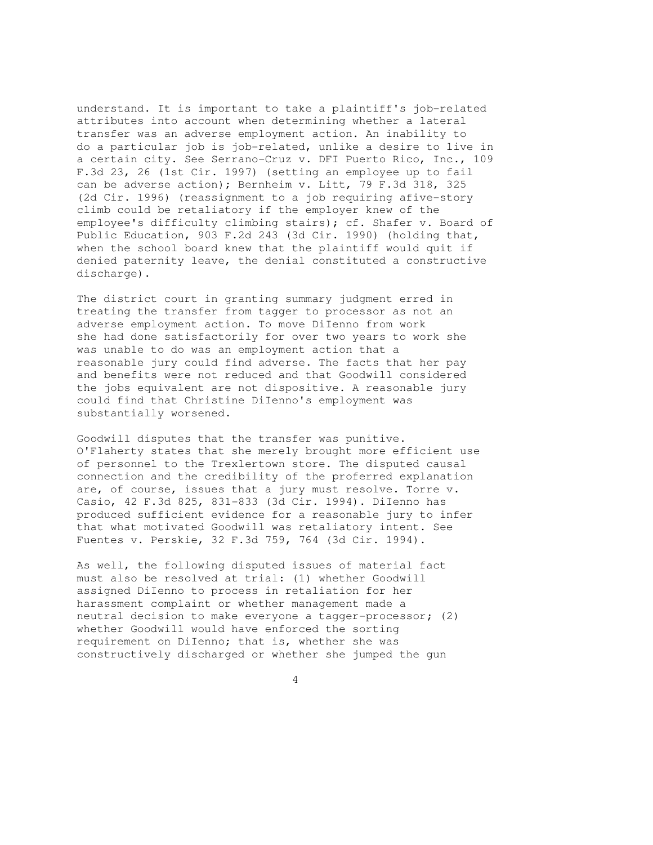understand. It is important to take a plaintiff's job-related attributes into account when determining whether a lateral transfer was an adverse employment action. An inability to do a particular job is job-related, unlike a desire to live in a certain city. See Serrano-Cruz v. DFI Puerto Rico, Inc., 109 F.3d 23, 26 (1st Cir. 1997) (setting an employee up to fail can be adverse action); Bernheim v. Litt, 79 F.3d 318, 325 (2d Cir. 1996) (reassignment to a job requiring afive-story climb could be retaliatory if the employer knew of the employee's difficulty climbing stairs); cf. Shafer v. Board of Public Education, 903 F.2d 243 (3d Cir. 1990) (holding that, when the school board knew that the plaintiff would quit if denied paternity leave, the denial constituted a constructive discharge).

The district court in granting summary judgment erred in treating the transfer from tagger to processor as not an adverse employment action. To move DiIenno from work she had done satisfactorily for over two years to work she was unable to do was an employment action that a reasonable jury could find adverse. The facts that her pay and benefits were not reduced and that Goodwill considered the jobs equivalent are not dispositive. A reasonable jury could find that Christine DiIenno's employment was substantially worsened.

Goodwill disputes that the transfer was punitive. O'Flaherty states that she merely brought more efficient use of personnel to the Trexlertown store. The disputed causal connection and the credibility of the proferred explanation are, of course, issues that a jury must resolve. Torre v. Casio, 42 F.3d 825, 831-833 (3d Cir. 1994). DiIenno has produced sufficient evidence for a reasonable jury to infer that what motivated Goodwill was retaliatory intent. See Fuentes v. Perskie, 32 F.3d 759, 764 (3d Cir. 1994).

As well, the following disputed issues of material fact must also be resolved at trial: (1) whether Goodwill assigned DiIenno to process in retaliation for her harassment complaint or whether management made a neutral decision to make everyone a tagger-processor; (2) whether Goodwill would have enforced the sorting requirement on DiIenno; that is, whether she was constructively discharged or whether she jumped the gun

4